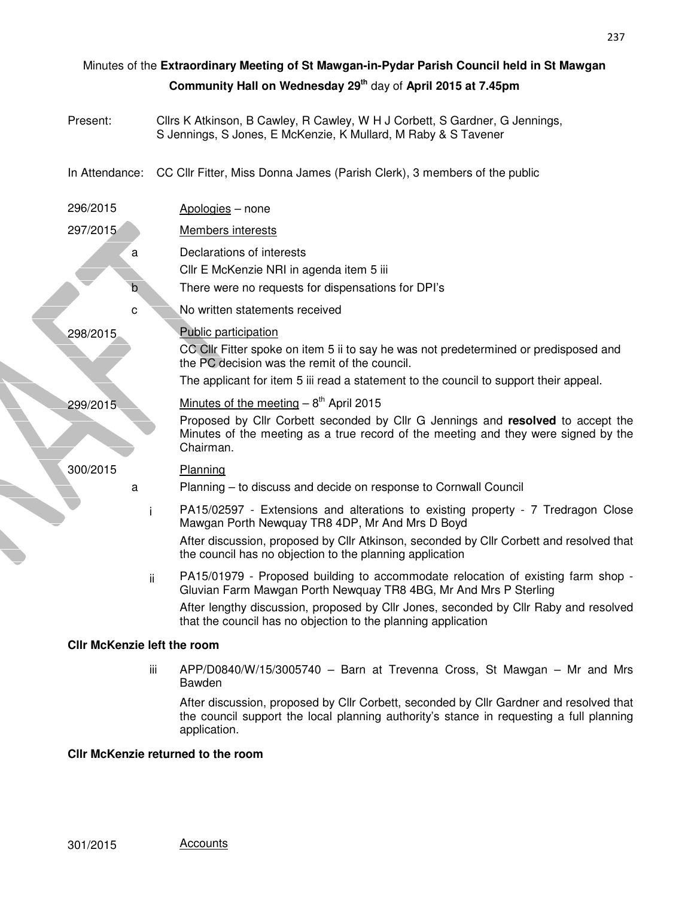|                                                                          |          | Minutes of the Extraordinary Meeting of St Mawgan-in-Pydar Parish Council held in St Mawgan                                                                                        |  |  |  |
|--------------------------------------------------------------------------|----------|------------------------------------------------------------------------------------------------------------------------------------------------------------------------------------|--|--|--|
| Community Hall on Wednesday 29 <sup>th</sup> day of April 2015 at 7.45pm |          |                                                                                                                                                                                    |  |  |  |
|                                                                          | Present: | Cllrs K Atkinson, B Cawley, R Cawley, W H J Corbett, S Gardner, G Jennings,<br>S Jennings, S Jones, E McKenzie, K Mullard, M Raby & S Tavener                                      |  |  |  |
|                                                                          |          | In Attendance: CC Cllr Fitter, Miss Donna James (Parish Clerk), 3 members of the public                                                                                            |  |  |  |
|                                                                          | 296/2015 | Apologies - none                                                                                                                                                                   |  |  |  |
|                                                                          | 297/2015 | <b>Members interests</b>                                                                                                                                                           |  |  |  |
|                                                                          | a        | Declarations of interests                                                                                                                                                          |  |  |  |
|                                                                          |          | Cllr E McKenzie NRI in agenda item 5 iii                                                                                                                                           |  |  |  |
|                                                                          |          | There were no requests for dispensations for DPI's                                                                                                                                 |  |  |  |
|                                                                          | C        | No written statements received                                                                                                                                                     |  |  |  |
|                                                                          | 298/2015 | <b>Public participation</b>                                                                                                                                                        |  |  |  |
|                                                                          |          | CC Cllr Fitter spoke on item 5 ii to say he was not predetermined or predisposed and<br>the PC decision was the remit of the council.                                              |  |  |  |
|                                                                          |          | The applicant for item 5 iii read a statement to the council to support their appeal.                                                                                              |  |  |  |
|                                                                          | 299/2015 | Minutes of the meeting $-8$ <sup>th</sup> April 2015                                                                                                                               |  |  |  |
|                                                                          |          | Proposed by Cllr Corbett seconded by Cllr G Jennings and resolved to accept the<br>Minutes of the meeting as a true record of the meeting and they were signed by the<br>Chairman. |  |  |  |
|                                                                          | 300/2015 | Planning                                                                                                                                                                           |  |  |  |
|                                                                          | a        | Planning - to discuss and decide on response to Cornwall Council                                                                                                                   |  |  |  |
|                                                                          |          | PA15/02597 - Extensions and alterations to existing property - 7 Tredragon Close<br>Mawgan Porth Newquay TR8 4DP, Mr And Mrs D Boyd                                                |  |  |  |
|                                                                          |          | After discussion, proposed by Cllr Atkinson, seconded by Cllr Corbett and resolved that<br>the council has no objection to the planning application                                |  |  |  |
|                                                                          |          | PA15/01979 - Proposed building to accommodate relocation of existing farm shop -<br>ii.<br>Gluvian Farm Mawgan Porth Newquay TR8 4BG, Mr And Mrs P Sterling                        |  |  |  |
|                                                                          |          | After lengthy discussion, proposed by Cllr Jones, seconded by Cllr Raby and resolved<br>that the council has no objection to the planning application                              |  |  |  |
| <b>CIIr McKenzie left the room</b>                                       |          |                                                                                                                                                                                    |  |  |  |
|                                                                          |          | APP/D0840/W/15/3005740 - Barn at Trevenna Cross, St Mawgan - Mr and Mrs<br>Ш                                                                                                       |  |  |  |

After discussion, proposed by Cllr Corbett, seconded by Cllr Gardner and resolved that the council support the local planning authority's stance in requesting a full planning

**Cllr McKenzie returned to the room** 

Bawden

application.